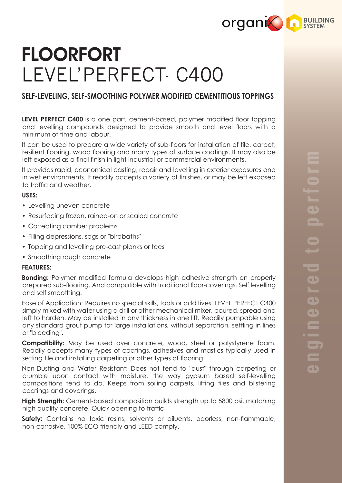

# FLOORFORT LEVEL'PERFECT- C400

# **SELF-LEVELING, SELF-SMOOTHING POLYMER MODIFIED CEMENTITIOUS TOPPINGS**

**LEVEL PERFECT C400** is a one part, cement-based, polymer modified floor topping and levelling compounds designed to provide smooth and level floors with a minimum of time and labour.

It can be used to prepare a wide variety of sub-floors for installation of tile, carpet, resilient flooring, wood flooring and many types of surface coatings. It may also be left exposed as a final finish in light industrial or commercial environments.

It provides rapid, economical casting, repair and levelling in exterior exposures and in wet environments. It readily accepts a variety of finishes, or may be left exposed to traffic and weather.

### **USES:**

- Levelling uneven concrete
- Resurfacing frozen, rained-on or scaled concrete
- Correcting camber problems
- Filling depressions, sags or "birdbaths"
- Topping and levelling pre-cast planks or tees
- Smoothing rough concrete

#### **FEATURES:**

**Bonding:** Polymer modified formula develops high adhesive strength on properly prepared sub-flooring. And compatible with traditional floor-coverings. Self levelling and self smoothing.

Ease of Application: Requires no special skills, tools or additives. LEVEL PERFECT C400 simply mixed with water using a drill or other mechanical mixer, poured, spread and left to harden. May be installed in any thickness in one lift. Readily pumpable using any standard grout pump for large installations, without separation, settling in lines or "bleeding".

**Compatibility:** May be used over concrete, wood, steel or polystyrene foam. Readily accepts many types of coatings, adhesives and mastics typically used in setting tile and installing carpeting or other types of flooring.

Non-Dusting and Water Resistant: Does not tend to "dust" through carpeting or crumble upon contact with moisture, the way gypsum based self-levelling compositions tend to do. Keeps from soiling carpets, lifting tiles and blistering coatings and coverings.

**High Strength:** Cement-based composition builds strength up to 5800 psi, matching high quality concrete. Quick opening to traffic

**Safety:** Contains no toxic resins, solvents or diluents. odorless, non-flammable, non-corrosive. 100% ECO friendly and LEED comply.